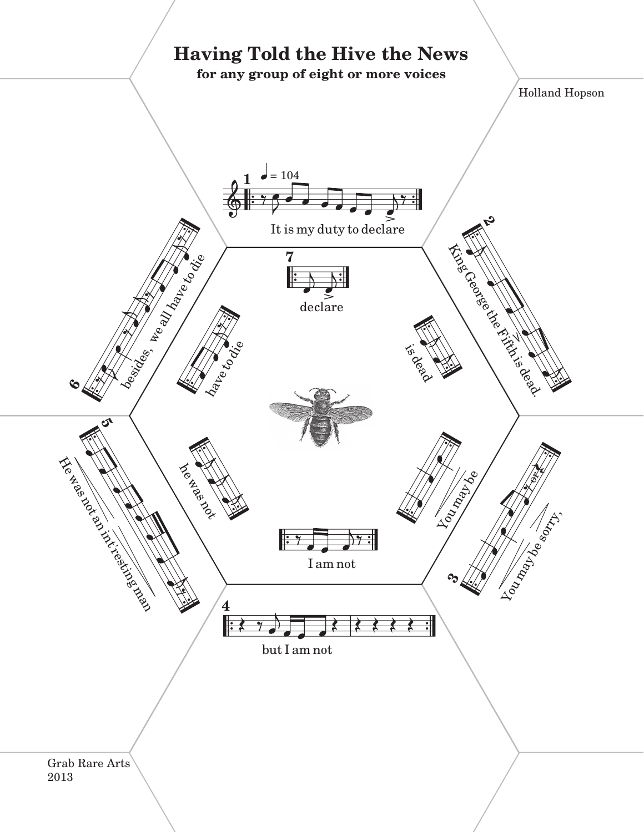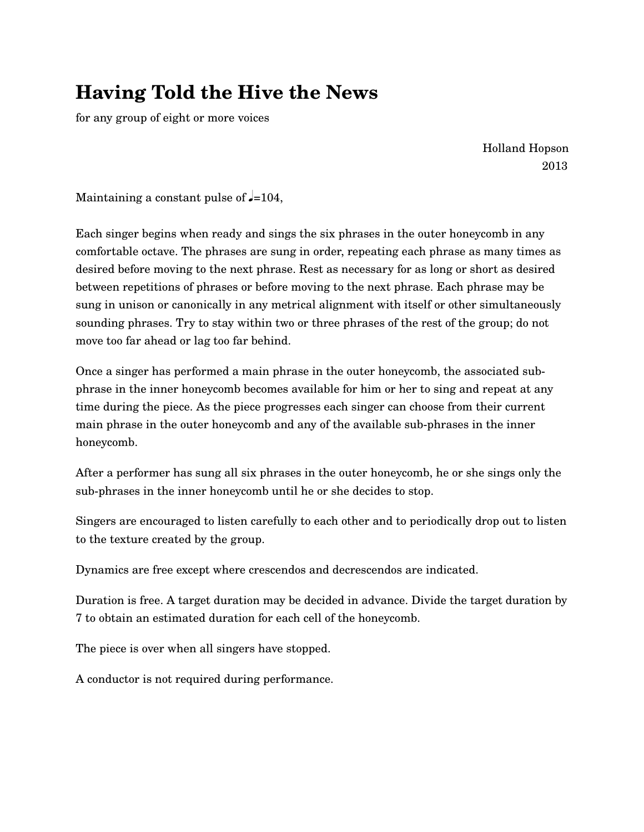## **Having Told the Hive the News**

for any group of eight or more voices

Holland Hopson 2013

Maintaining a constant pulse of  $\epsilon$ =104,

Each singer begins when ready and sings the six phrases in the outer honeycomb in any comfortable octave. The phrases are sung in order, repeating each phrase as many times as desired before moving to the next phrase. Rest as necessary for as long or short as desired between repetitions of phrases or before moving to the next phrase. Each phrase may be sung in unison or canonically in any metrical alignment with itself or other simultaneously sounding phrases. Try to stay within two or three phrases of the rest of the group; do not move too far ahead or lag too far behind.

Once a singer has performed a main phrase in the outer honeycomb, the associated subphrase in the inner honeycomb becomes available for him or her to sing and repeat at any time during the piece. As the piece progresses each singer can choose from their current main phrase in the outer honeycomb and any of the available sub-phrases in the inner honeycomb.

After a performer has sung all six phrases in the outer honeycomb, he or she sings only the sub-phrases in the inner honeycomb until he or she decides to stop.

Singers are encouraged to listen carefully to each other and to periodically drop out to listen to the texture created by the group.

Dynamics are free except where crescendos and decrescendos are indicated.

Duration is free. A target duration may be decided in advance. Divide the target duration by 7 to obtain an estimated duration for each cell of the honeycomb.

The piece is over when all singers have stopped.

A conductor is not required during performance.